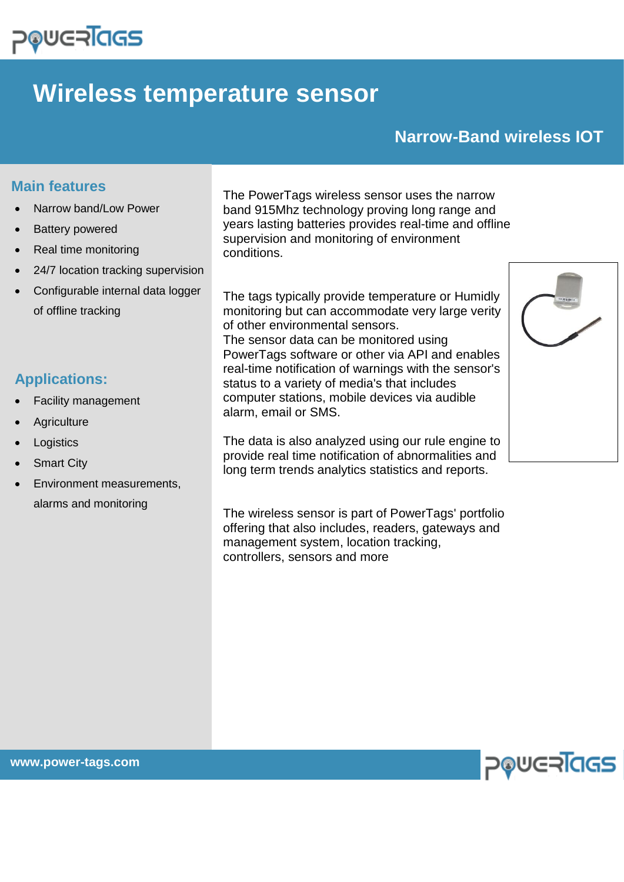

# **Wireless temperature sensor**

## **Narrow-Band wireless IOT**

#### **Main features**

- Narrow band/Low Power
- Battery powered
- Real time monitoring
- 24/7 location tracking supervision
- Configurable internal data logger of offline tracking

### **Applications:**

- Facility management
- **Agriculture**
- **Logistics**
- **Smart City**
- Environment measurements, alarms and monitoring

The PowerTags wireless sensor uses the narrow band 915Mhz technology proving long range and years lasting batteries provides real-time and offline supervision and monitoring of environment conditions.

The tags typically provide temperature or Humidly monitoring but can accommodate very large verity of other environmental sensors. The sensor data can be monitored using PowerTags software or other via API and enables real-time notification of warnings with the sensor's status to a variety of media's that includes computer stations, mobile devices via audible alarm, email or SMS.

The data is also analyzed using our rule engine to provide real time notification of abnormalities and long term trends analytics statistics and reports.

The wireless sensor is part of PowerTags' portfolio offering that also includes, readers, gateways and management system, location tracking, controllers, sensors and more



**www.power-tags.com**